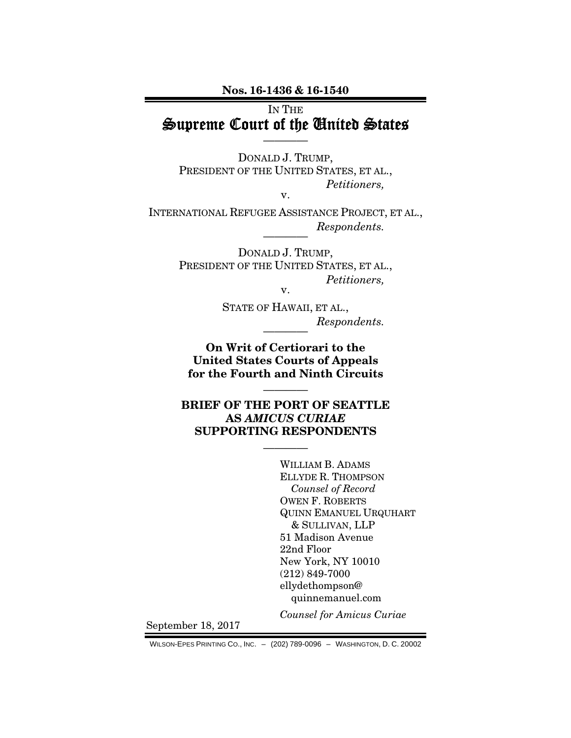Nos. 16-1436 & 16-1540

## IN THE Supreme Court of the United States

————

DONALD J. TRUMP, PRESIDENT OF THE UNITED STATES, ET AL., *Petitioners,* 

v.

INTERNATIONAL REFUGEE ASSISTANCE PROJECT, ET AL.,  $Respondents.$ 

> DONALD J. TRUMP, PRESIDENT OF THE UNITED STATES, ET AL., *Petitioners,*  v.

STATE OF HAWAII, ET AL.,  $Respondents.$ 

On Writ of Certiorari to the United States Courts of Appeals for the Fourth and Ninth Circuits

————

BRIEF OF THE PORT OF SEATTLE AS *AMICUS CURIAE* SUPPORTING RESPONDENTS

————

 WILLIAM B. ADAMS ELLYDE R. THOMPSON *Counsel of Record*  OWEN F. ROBERTS QUINN EMANUEL URQUHART & SULLIVAN, LLP 51 Madison Avenue 22nd Floor New York, NY 10010 (212) 849-7000 ellydethompson@ quinnemanuel.com

*Counsel for Amicus Curiae*

September 18, 2017

WILSON-EPES PRINTING CO., INC. – (202) 789-0096 – WASHINGTON, D. C. 20002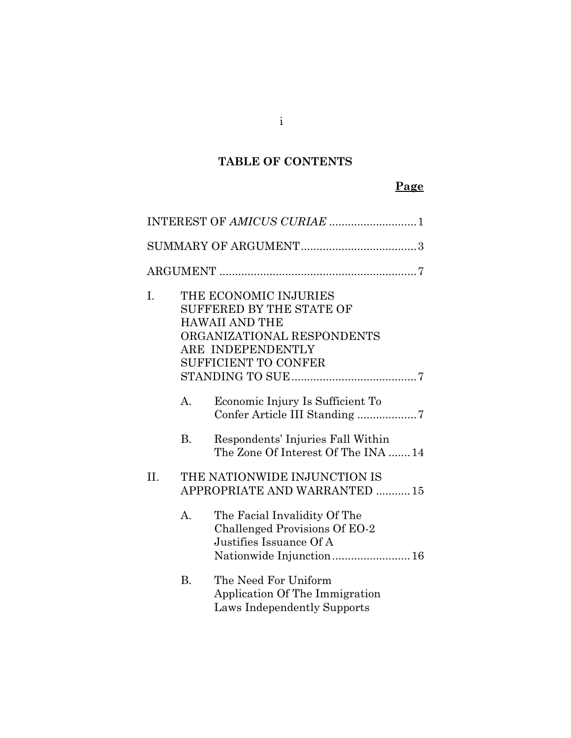## **TABLE OF CONTENTS**

## **Page**

|     |           | INTEREST OF AMICUS CURIAE 1                                                                                                                                         |
|-----|-----------|---------------------------------------------------------------------------------------------------------------------------------------------------------------------|
|     |           |                                                                                                                                                                     |
|     |           |                                                                                                                                                                     |
| I.  |           | THE ECONOMIC INJURIES<br><b>SUFFERED BY THE STATE OF</b><br><b>HAWAII AND THE</b><br>ORGANIZATIONAL RESPONDENTS<br>ARE INDEPENDENTLY<br><b>SUFFICIENT TO CONFER</b> |
|     | А.        | Economic Injury Is Sufficient To                                                                                                                                    |
|     | <b>B.</b> | Respondents' Injuries Fall Within<br>The Zone Of Interest Of The INA  14                                                                                            |
| II. |           | THE NATIONWIDE INJUNCTION IS<br>APPROPRIATE AND WARRANTED  15                                                                                                       |
|     | A.        | The Facial Invalidity Of The<br>Challenged Provisions Of EO-2<br>Justifies Issuance Of A<br>Nationwide Injunction 16                                                |
|     | <b>B.</b> | The Need For Uniform<br>Application Of The Immigration<br>Laws Independently Supports                                                                               |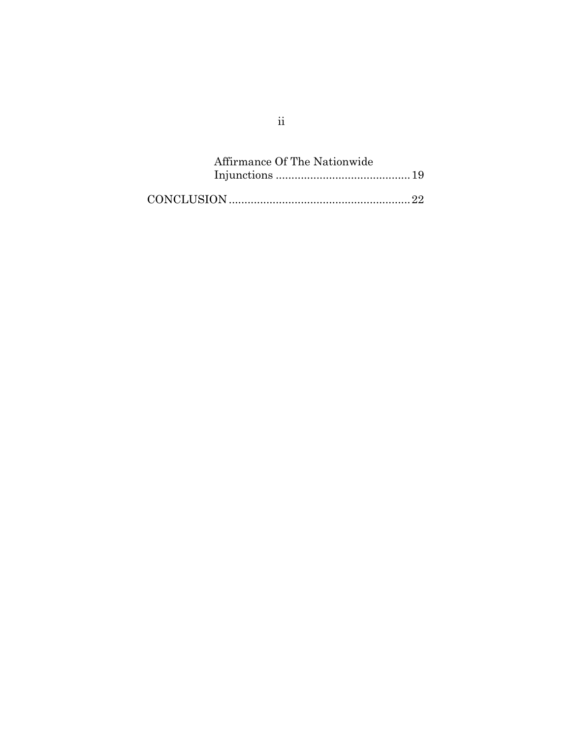| Affirmance Of The Nationwide |  |
|------------------------------|--|
|                              |  |
|                              |  |

ii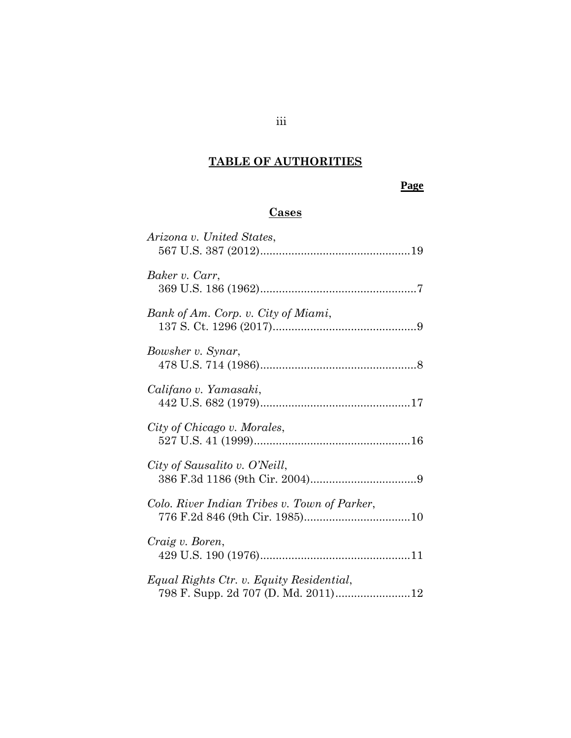# **TABLE OF AUTHORITIES**

## **Page**

## **Cases**

| Arizona v. United States,                    |
|----------------------------------------------|
| Baker v. Carr,                               |
| Bank of Am. Corp. v. City of Miami,          |
| Bowsher v. Synar,                            |
| Califano v. Yamasaki,                        |
| City of Chicago v. Morales,                  |
| City of Sausalito v. O'Neill,                |
| Colo. River Indian Tribes v. Town of Parker, |
| Craig v. Boren,                              |
| Equal Rights Ctr. v. Equity Residential,     |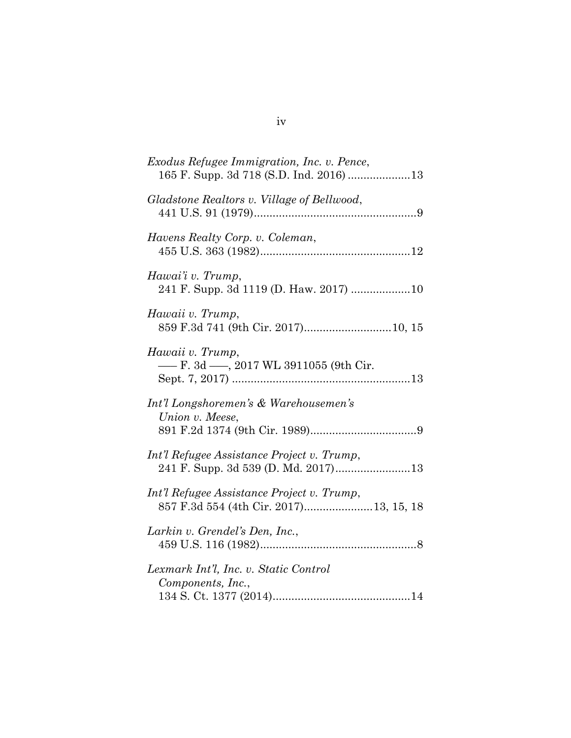| <i>Exodus Refugee Immigration, Inc. v. Pence,</i>                                    |
|--------------------------------------------------------------------------------------|
| Gladstone Realtors v. Village of Bellwood,                                           |
| Havens Realty Corp. v. Coleman,                                                      |
| Hawai'i v. Trump,<br>241 F. Supp. 3d 1119 (D. Haw. 2017) 10                          |
| Hawaii v. Trump,<br>859 F.3d 741 (9th Cir. 2017)10, 15                               |
| Hawaii v. Trump,<br>- F. 3d - 2017 WL 3911055 (9th Cir.                              |
| Int'l Longshoremen's & Warehousemen's<br>Union v. Meese,                             |
| Int'l Refugee Assistance Project v. Trump,                                           |
| Int'l Refugee Assistance Project v. Trump,<br>857 F.3d 554 (4th Cir. 2017)13, 15, 18 |
| Larkin v. Grendel's Den, Inc.,                                                       |
| Lexmark Int'l, Inc. v. Static Control<br>Components, Inc.,                           |

iv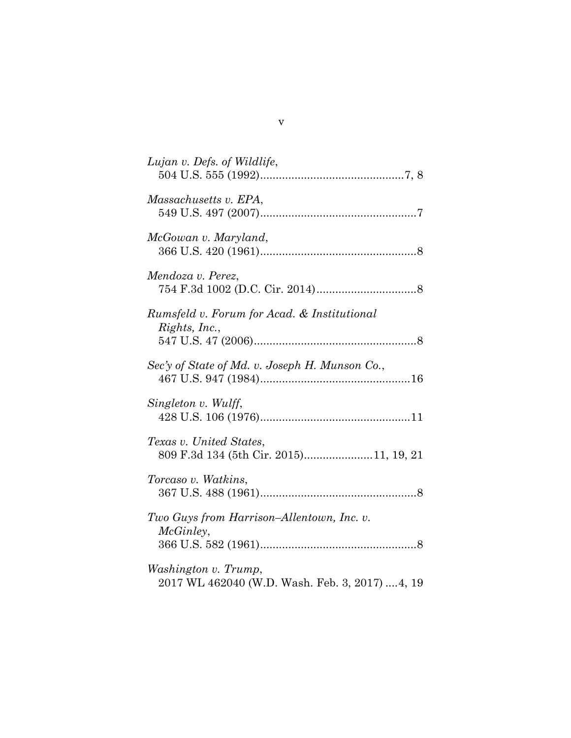| Lujan v. Defs. of Wildlife,                                             |
|-------------------------------------------------------------------------|
| Massachusetts v. EPA,                                                   |
| McGowan v. Maryland,                                                    |
| Mendoza v. Perez,                                                       |
| Rumsfeld v. Forum for Acad. & Institutional<br>Rights, Inc.,            |
| Sec'y of State of Md. v. Joseph H. Munson Co.,                          |
| Singleton v. Wulff,                                                     |
| Texas v. United States,<br>809 F.3d 134 (5th Cir. 2015)11, 19, 21       |
| Torcaso v. Watkins,                                                     |
| Two Guys from Harrison-Allentown, Inc. v.<br>McGinley,                  |
| Washington v. Trump,<br>2017 WL 462040 (W.D. Wash. Feb. 3, 2017)  4, 19 |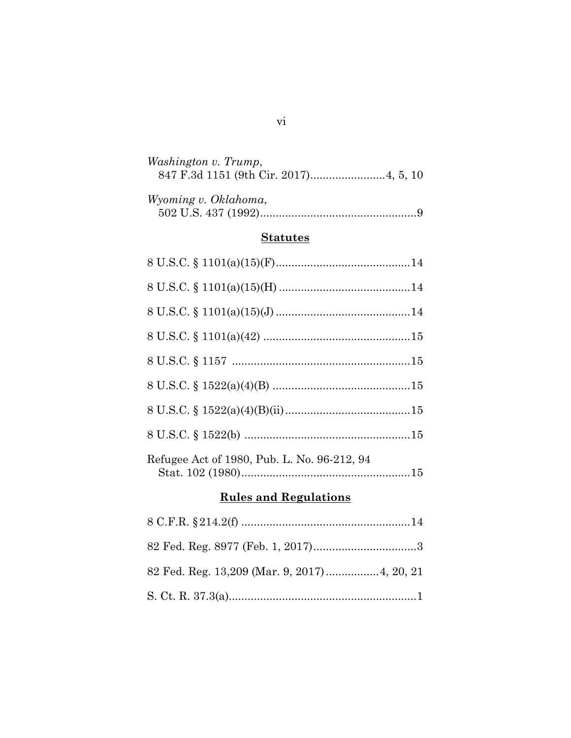| Washington v. Trump, |  |
|----------------------|--|
| Wyoming v. Oklahoma, |  |

## **Statutes**

| Refugee Act of 1980, Pub. L. No. 96-212, 94 |
|---------------------------------------------|

## **Rules and Regulations**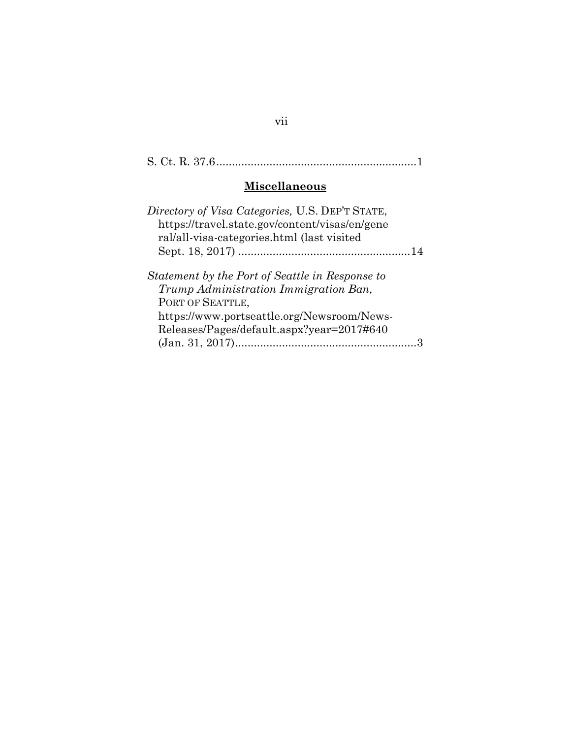## S. Ct. R. 37.6................................................................1

## **Miscellaneous**

| Directory of Visa Categories, U.S. DEP'T STATE, |  |
|-------------------------------------------------|--|
| https://travel.state.gov/content/visas/en/gene  |  |
| ral/all-visa-categories.html (last visited      |  |
|                                                 |  |
| Statement by the Port of Seattle in Response to |  |
| Trump Administration Immigration Ban,           |  |
| PORT OF SEATTLE,                                |  |
| https://www.portseattle.org/Newsroom/News-      |  |
| Releases/Pages/default.aspx?year=2017#640       |  |
|                                                 |  |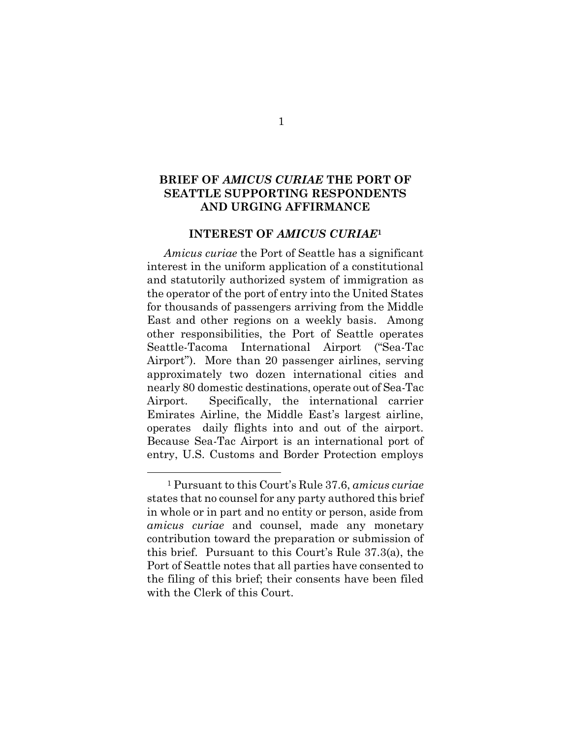### **BRIEF OF** *AMICUS CURIAE* **THE PORT OF SEATTLE SUPPORTING RESPONDENTS AND URGING AFFIRMANCE**

#### **INTEREST OF** *AMICUS CURIAE***<sup>1</sup>**

*Amicus curiae* the Port of Seattle has a significant interest in the uniform application of a constitutional and statutorily authorized system of immigration as the operator of the port of entry into the United States for thousands of passengers arriving from the Middle East and other regions on a weekly basis. Among other responsibilities, the Port of Seattle operates Seattle-Tacoma International Airport ("Sea-Tac Airport"). More than 20 passenger airlines, serving approximately two dozen international cities and nearly 80 domestic destinations, operate out of Sea-Tac Airport. Specifically, the international carrier Emirates Airline, the Middle East's largest airline, operates daily flights into and out of the airport. Because Sea-Tac Airport is an international port of entry, U.S. Customs and Border Protection employs

 $\overline{a}$ 

<sup>1</sup> Pursuant to this Court's Rule 37.6, *amicus curiae* states that no counsel for any party authored this brief in whole or in part and no entity or person, aside from *amicus curiae* and counsel, made any monetary contribution toward the preparation or submission of this brief. Pursuant to this Court's Rule 37.3(a), the Port of Seattle notes that all parties have consented to the filing of this brief; their consents have been filed with the Clerk of this Court.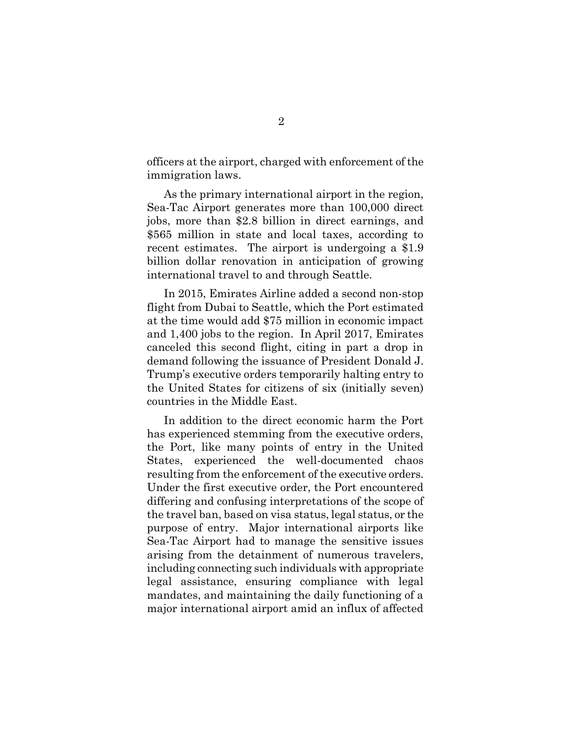officers at the airport, charged with enforcement of the immigration laws.

As the primary international airport in the region, Sea-Tac Airport generates more than 100,000 direct jobs, more than \$2.8 billion in direct earnings, and \$565 million in state and local taxes, according to recent estimates. The airport is undergoing a \$1.9 billion dollar renovation in anticipation of growing international travel to and through Seattle.

In 2015, Emirates Airline added a second non-stop flight from Dubai to Seattle, which the Port estimated at the time would add \$75 million in economic impact and 1,400 jobs to the region. In April 2017, Emirates canceled this second flight, citing in part a drop in demand following the issuance of President Donald J. Trump's executive orders temporarily halting entry to the United States for citizens of six (initially seven) countries in the Middle East.

In addition to the direct economic harm the Port has experienced stemming from the executive orders, the Port, like many points of entry in the United States, experienced the well-documented chaos resulting from the enforcement of the executive orders. Under the first executive order, the Port encountered differing and confusing interpretations of the scope of the travel ban, based on visa status, legal status, or the purpose of entry. Major international airports like Sea-Tac Airport had to manage the sensitive issues arising from the detainment of numerous travelers, including connecting such individuals with appropriate legal assistance, ensuring compliance with legal mandates, and maintaining the daily functioning of a major international airport amid an influx of affected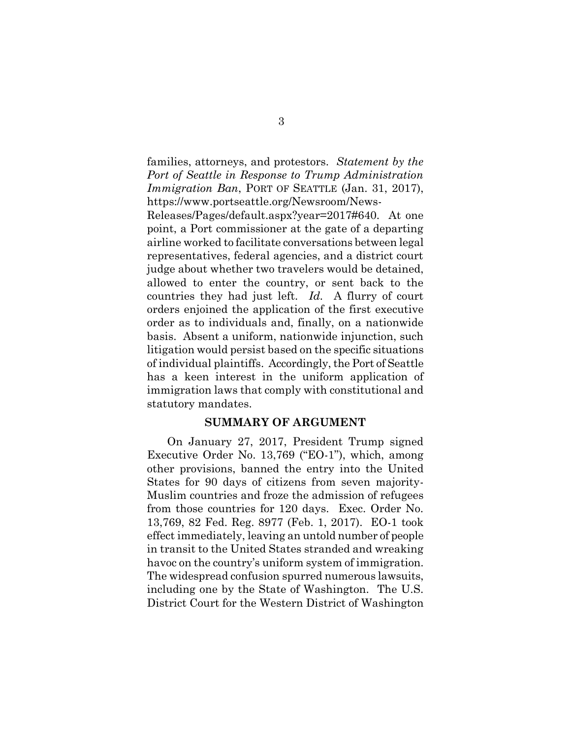families, attorneys, and protestors. *Statement by the Port of Seattle in Response to Trump Administration Immigration Ban*, PORT OF SEATTLE (Jan. 31, 2017), https://www.portseattle.org/Newsroom/News-

Releases/Pages/default.aspx?year=2017#640. At one point, a Port commissioner at the gate of a departing airline worked to facilitate conversations between legal representatives, federal agencies, and a district court judge about whether two travelers would be detained, allowed to enter the country, or sent back to the countries they had just left. *Id.* A flurry of court orders enjoined the application of the first executive order as to individuals and, finally, on a nationwide basis. Absent a uniform, nationwide injunction, such litigation would persist based on the specific situations of individual plaintiffs. Accordingly, the Port of Seattle has a keen interest in the uniform application of immigration laws that comply with constitutional and statutory mandates.

#### **SUMMARY OF ARGUMENT**

On January 27, 2017, President Trump signed Executive Order No. 13,769 ("EO-1"), which, among other provisions, banned the entry into the United States for 90 days of citizens from seven majority-Muslim countries and froze the admission of refugees from those countries for 120 days. Exec. Order No. 13,769, 82 Fed. Reg. 8977 (Feb. 1, 2017). EO-1 took effect immediately, leaving an untold number of people in transit to the United States stranded and wreaking havoc on the country's uniform system of immigration. The widespread confusion spurred numerous lawsuits, including one by the State of Washington. The U.S. District Court for the Western District of Washington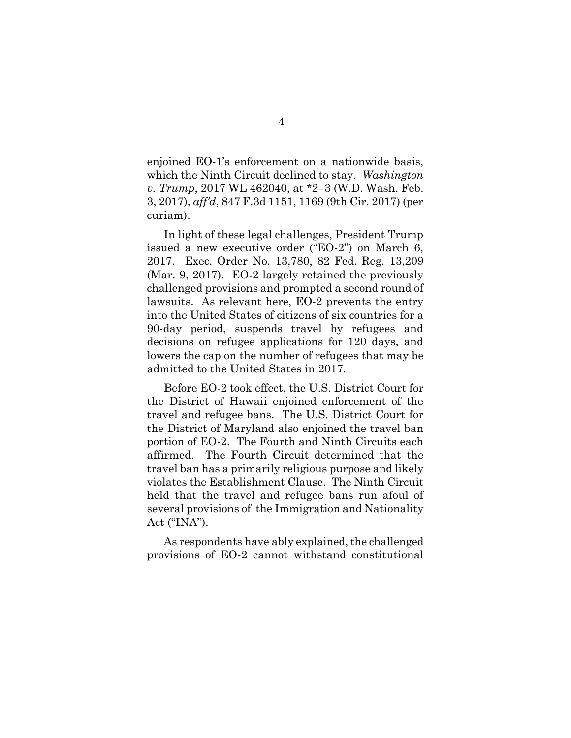enjoined EO-1's enforcement on a nationwide basis, which the Ninth Circuit declined to stay. *Washington v. Trump*, 2017 WL 462040, at \*2–3 (W.D. Wash. Feb. 3, 2017), *aff'd*, 847 F.3d 1151, 1169 (9th Cir. 2017) (per curiam).

In light of these legal challenges, President Trump issued a new executive order ("EO-2") on March 6, 2017. Exec. Order No. 13,780, 82 Fed. Reg. 13,209 (Mar. 9, 2017). EO-2 largely retained the previously challenged provisions and prompted a second round of lawsuits. As relevant here, EO-2 prevents the entry into the United States of citizens of six countries for a 90-day period, suspends travel by refugees and decisions on refugee applications for 120 days, and lowers the cap on the number of refugees that may be admitted to the United States in 2017.

Before EO-2 took effect, the U.S. District Court for the District of Hawaii enjoined enforcement of the travel and refugee bans. The U.S. District Court for the District of Maryland also enjoined the travel ban portion of EO-2. The Fourth and Ninth Circuits each affirmed. The Fourth Circuit determined that the travel ban has a primarily religious purpose and likely violates the Establishment Clause. The Ninth Circuit held that the travel and refugee bans run afoul of several provisions of the Immigration and Nationality Act ("INA").

As respondents have ably explained, the challenged provisions of EO-2 cannot withstand constitutional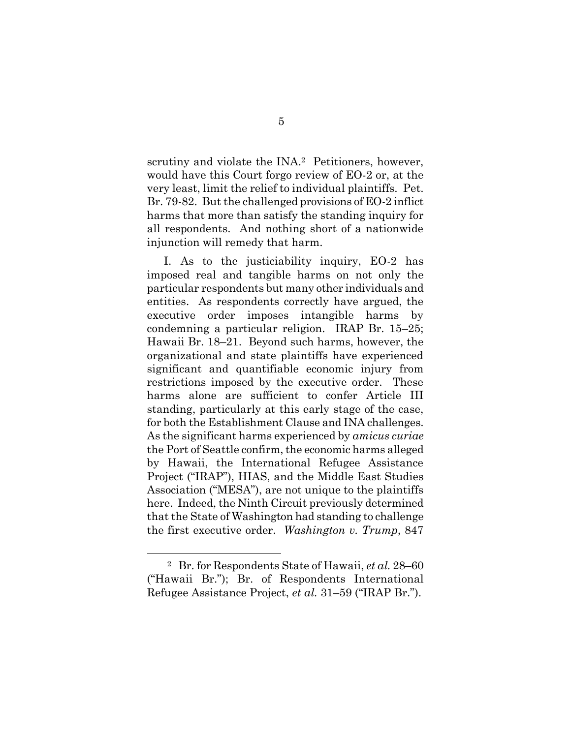scrutiny and violate the INA.<sup>2</sup> Petitioners, however, would have this Court forgo review of EO-2 or, at the very least, limit the relief to individual plaintiffs. Pet. Br. 79-82. But the challenged provisions of EO-2 inflict harms that more than satisfy the standing inquiry for all respondents. And nothing short of a nationwide injunction will remedy that harm.

I. As to the justiciability inquiry, EO-2 has imposed real and tangible harms on not only the particular respondents but many other individuals and entities. As respondents correctly have argued, the executive order imposes intangible harms by condemning a particular religion. IRAP Br. 15–25; Hawaii Br. 18–21. Beyond such harms, however, the organizational and state plaintiffs have experienced significant and quantifiable economic injury from restrictions imposed by the executive order. These harms alone are sufficient to confer Article III standing, particularly at this early stage of the case, for both the Establishment Clause and INA challenges. As the significant harms experienced by *amicus curiae* the Port of Seattle confirm, the economic harms alleged by Hawaii, the International Refugee Assistance Project ("IRAP"), HIAS, and the Middle East Studies Association ("MESA"), are not unique to the plaintiffs here. Indeed, the Ninth Circuit previously determined that the State of Washington had standing to challenge the first executive order. *Washington v. Trump*, 847

 $\overline{a}$ 

<sup>2</sup> Br. for Respondents State of Hawaii, *et al.* 28–60 ("Hawaii Br."); Br. of Respondents International Refugee Assistance Project, *et al.* 31–59 ("IRAP Br.").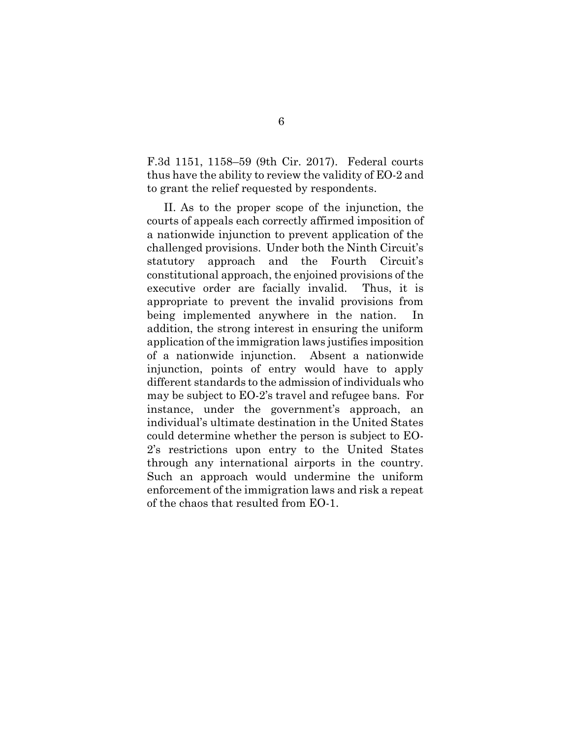F.3d 1151, 1158–59 (9th Cir. 2017). Federal courts thus have the ability to review the validity of EO-2 and to grant the relief requested by respondents.

II. As to the proper scope of the injunction, the courts of appeals each correctly affirmed imposition of a nationwide injunction to prevent application of the challenged provisions. Under both the Ninth Circuit's statutory approach and the Fourth Circuit's constitutional approach, the enjoined provisions of the executive order are facially invalid. Thus, it is appropriate to prevent the invalid provisions from being implemented anywhere in the nation. In addition, the strong interest in ensuring the uniform application of the immigration laws justifies imposition of a nationwide injunction. Absent a nationwide injunction, points of entry would have to apply different standards to the admission of individuals who may be subject to EO-2's travel and refugee bans. For instance, under the government's approach, an individual's ultimate destination in the United States could determine whether the person is subject to EO-2's restrictions upon entry to the United States through any international airports in the country. Such an approach would undermine the uniform enforcement of the immigration laws and risk a repeat of the chaos that resulted from EO-1.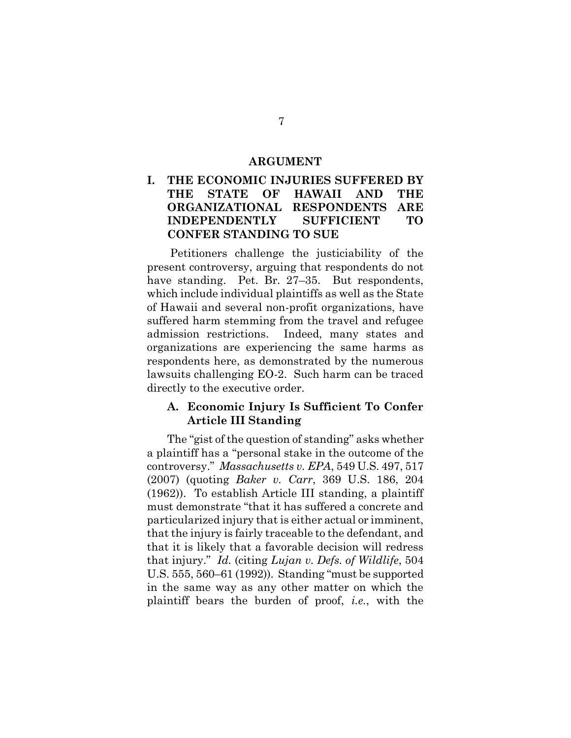#### **ARGUMENT**

### **I. THE ECONOMIC INJURIES SUFFERED BY THE STATE OF HAWAII AND THE ORGANIZATIONAL RESPONDENTS ARE INDEPENDENTLY SUFFICIENT TO CONFER STANDING TO SUE**

Petitioners challenge the justiciability of the present controversy, arguing that respondents do not have standing. Pet. Br. 27–35. But respondents, which include individual plaintiffs as well as the State of Hawaii and several non-profit organizations, have suffered harm stemming from the travel and refugee admission restrictions. Indeed, many states and organizations are experiencing the same harms as respondents here, as demonstrated by the numerous lawsuits challenging EO-2. Such harm can be traced directly to the executive order.

#### **A. Economic Injury Is Sufficient To Confer Article III Standing**

The "gist of the question of standing" asks whether a plaintiff has a "personal stake in the outcome of the controversy." *Massachusetts v. EPA*, 549 U.S. 497, 517 (2007) (quoting *Baker v. Carr*, 369 U.S. 186, 204 (1962)). To establish Article III standing, a plaintiff must demonstrate "that it has suffered a concrete and particularized injury that is either actual or imminent, that the injury is fairly traceable to the defendant, and that it is likely that a favorable decision will redress that injury." *Id.* (citing *Lujan v. Defs. of Wildlife*, 504 U.S. 555, 560–61 (1992)). Standing "must be supported in the same way as any other matter on which the plaintiff bears the burden of proof, *i.e.*, with the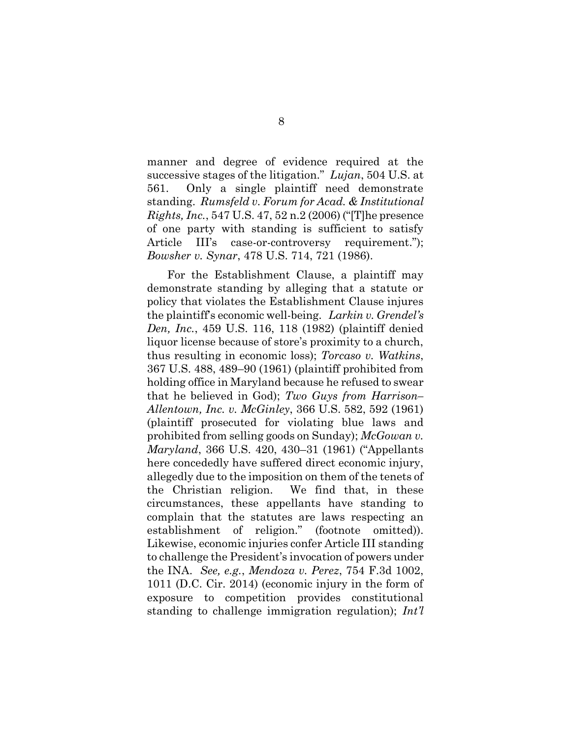manner and degree of evidence required at the successive stages of the litigation." *Lujan*, 504 U.S. at 561. Only a single plaintiff need demonstrate standing. *Rumsfeld v. Forum for Acad. & Institutional Rights, Inc.*, 547 U.S. 47, 52 n.2 (2006) ("[T]he presence of one party with standing is sufficient to satisfy Article III's case-or-controversy requirement."); *Bowsher v. Synar*, 478 U.S. 714, 721 (1986).

For the Establishment Clause, a plaintiff may demonstrate standing by alleging that a statute or policy that violates the Establishment Clause injures the plaintiff's economic well-being. *Larkin v. Grendel's Den, Inc.*, 459 U.S. 116, 118 (1982) (plaintiff denied liquor license because of store's proximity to a church, thus resulting in economic loss); *Torcaso v. Watkins*, 367 U.S. 488, 489–90 (1961) (plaintiff prohibited from holding office in Maryland because he refused to swear that he believed in God); *Two Guys from Harrison– Allentown, Inc. v. McGinley*, 366 U.S. 582, 592 (1961) (plaintiff prosecuted for violating blue laws and prohibited from selling goods on Sunday); *McGowan v. Maryland*, 366 U.S. 420, 430–31 (1961) ("Appellants here concededly have suffered direct economic injury, allegedly due to the imposition on them of the tenets of the Christian religion. We find that, in these circumstances, these appellants have standing to complain that the statutes are laws respecting an establishment of religion." (footnote omitted)). Likewise, economic injuries confer Article III standing to challenge the President's invocation of powers under the INA. *See, e.g.*, *Mendoza v. Perez*, 754 F.3d 1002, 1011 (D.C. Cir. 2014) (economic injury in the form of exposure to competition provides constitutional standing to challenge immigration regulation); *Int'l*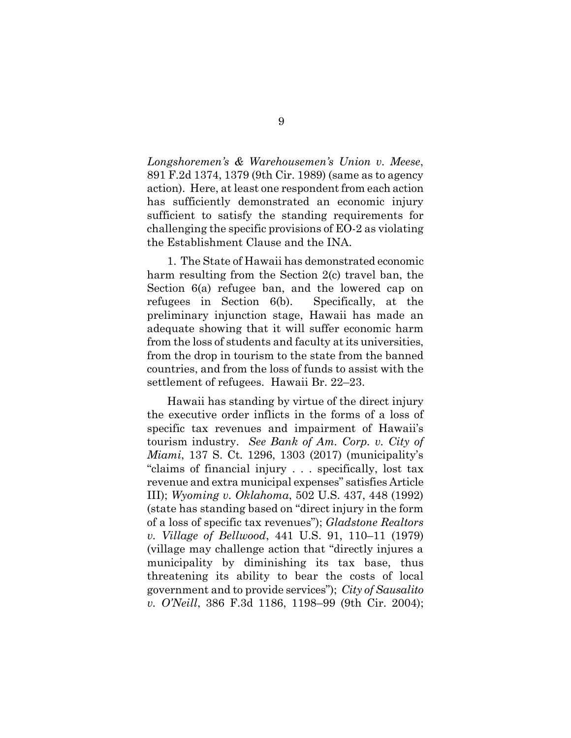*Longshoremen's & Warehousemen's Union v. Meese*, 891 F.2d 1374, 1379 (9th Cir. 1989) (same as to agency action). Here, at least one respondent from each action has sufficiently demonstrated an economic injury sufficient to satisfy the standing requirements for challenging the specific provisions of EO-2 as violating the Establishment Clause and the INA.

1. The State of Hawaii has demonstrated economic harm resulting from the Section 2(c) travel ban, the Section 6(a) refugee ban, and the lowered cap on refugees in Section 6(b). Specifically, at the preliminary injunction stage, Hawaii has made an adequate showing that it will suffer economic harm from the loss of students and faculty at its universities, from the drop in tourism to the state from the banned countries, and from the loss of funds to assist with the settlement of refugees. Hawaii Br. 22–23.

Hawaii has standing by virtue of the direct injury the executive order inflicts in the forms of a loss of specific tax revenues and impairment of Hawaii's tourism industry. *See Bank of Am. Corp. v. City of Miami*, 137 S. Ct. 1296, 1303 (2017) (municipality's "claims of financial injury . . . specifically, lost tax revenue and extra municipal expenses" satisfies Article III); *Wyoming v. Oklahoma*, 502 U.S. 437, 448 (1992) (state has standing based on "direct injury in the form of a loss of specific tax revenues"); *Gladstone Realtors v. Village of Bellwood*, 441 U.S. 91, 110–11 (1979) (village may challenge action that "directly injures a municipality by diminishing its tax base, thus threatening its ability to bear the costs of local government and to provide services"); *City of Sausalito v. O'Neill*, 386 F.3d 1186, 1198–99 (9th Cir. 2004);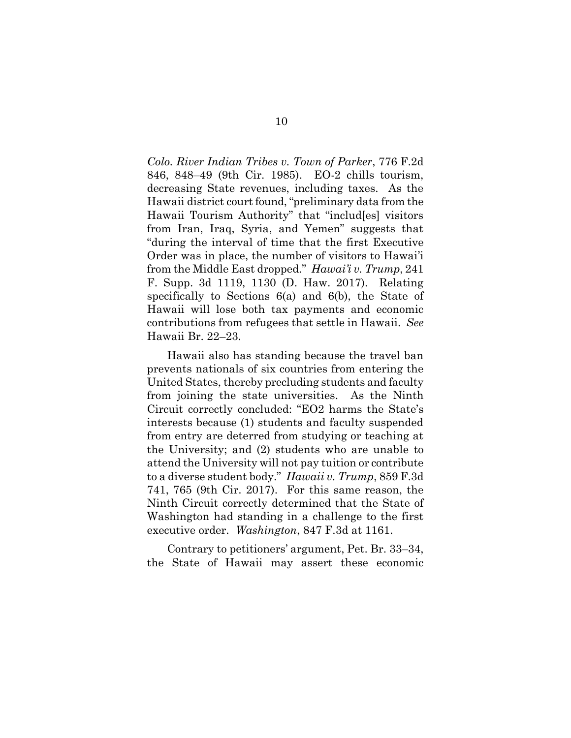*Colo. River Indian Tribes v. Town of Parker*, 776 F.2d 846, 848–49 (9th Cir. 1985). EO-2 chills tourism, decreasing State revenues, including taxes. As the Hawaii district court found, "preliminary data from the Hawaii Tourism Authority" that "includ[es] visitors from Iran, Iraq, Syria, and Yemen" suggests that "during the interval of time that the first Executive Order was in place, the number of visitors to Hawai'i from the Middle East dropped." *Hawai'i v. Trump*, 241 F. Supp. 3d 1119, 1130 (D. Haw. 2017). Relating specifically to Sections 6(a) and 6(b), the State of Hawaii will lose both tax payments and economic contributions from refugees that settle in Hawaii. *See*  Hawaii Br. 22–23.

Hawaii also has standing because the travel ban prevents nationals of six countries from entering the United States, thereby precluding students and faculty from joining the state universities. As the Ninth Circuit correctly concluded: "EO2 harms the State's interests because (1) students and faculty suspended from entry are deterred from studying or teaching at the University; and (2) students who are unable to attend the University will not pay tuition or contribute to a diverse student body." *Hawaii v. Trump*, 859 F.3d 741, 765 (9th Cir. 2017). For this same reason, the Ninth Circuit correctly determined that the State of Washington had standing in a challenge to the first executive order. *Washington*, 847 F.3d at 1161.

Contrary to petitioners' argument, Pet. Br. 33–34, the State of Hawaii may assert these economic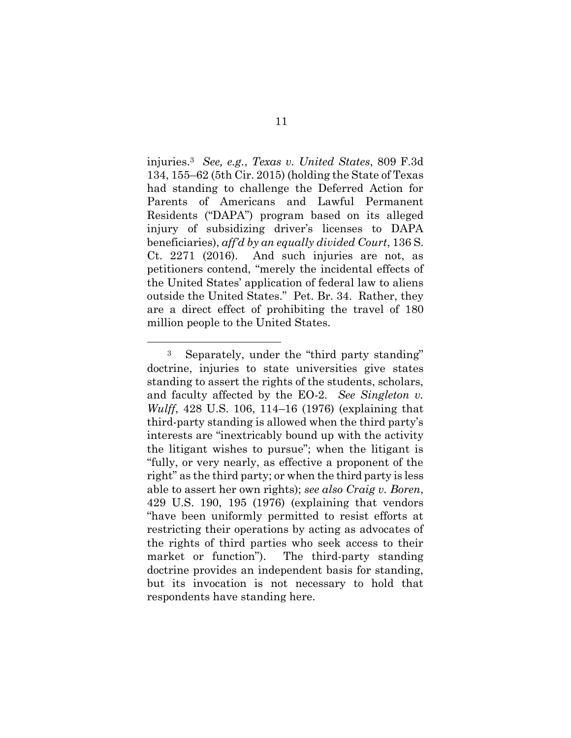injuries.<sup>3</sup> *See, e.g.*, *Texas v. United States*, 809 F.3d 134, 155–62 (5th Cir. 2015) (holding the State of Texas had standing to challenge the Deferred Action for Parents of Americans and Lawful Permanent Residents ("DAPA") program based on its alleged injury of subsidizing driver's licenses to DAPA beneficiaries), *aff'd by an equally divided Court*, 136 S. Ct. 2271 (2016). And such injuries are not, as petitioners contend, "merely the incidental effects of the United States' application of federal law to aliens outside the United States." Pet. Br. 34. Rather, they are a direct effect of prohibiting the travel of 180 million people to the United States.

 $\overline{a}$ 

<sup>3</sup> Separately, under the "third party standing" doctrine, injuries to state universities give states standing to assert the rights of the students, scholars, and faculty affected by the EO-2. *See Singleton v. Wulff*, 428 U.S. 106, 114–16 (1976) (explaining that third-party standing is allowed when the third party's interests are "inextricably bound up with the activity the litigant wishes to pursue"; when the litigant is "fully, or very nearly, as effective a proponent of the right" as the third party; or when the third party is less able to assert her own rights); *see also Craig v. Boren*, 429 U.S. 190, 195 (1976) (explaining that vendors "have been uniformly permitted to resist efforts at restricting their operations by acting as advocates of the rights of third parties who seek access to their market or function"). The third-party standing doctrine provides an independent basis for standing, but its invocation is not necessary to hold that respondents have standing here.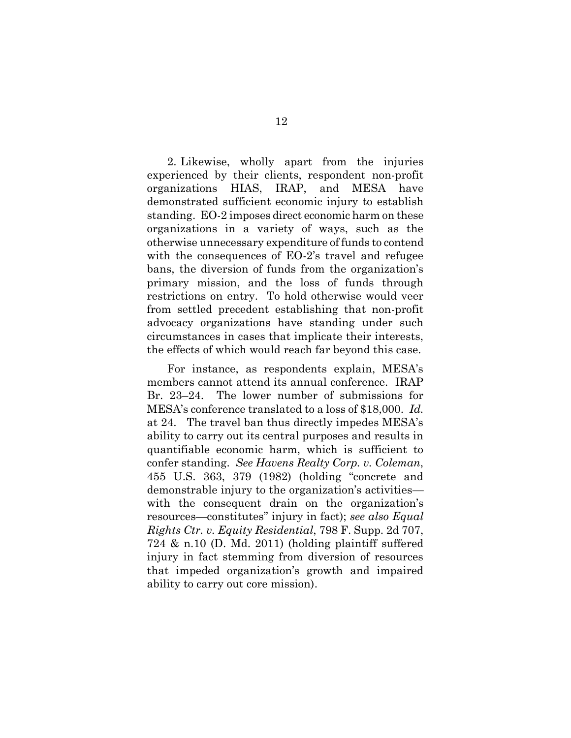2. Likewise, wholly apart from the injuries experienced by their clients, respondent non-profit organizations HIAS, IRAP, and MESA have demonstrated sufficient economic injury to establish standing. EO-2 imposes direct economic harm on these organizations in a variety of ways, such as the otherwise unnecessary expenditure of funds to contend with the consequences of EO-2's travel and refugee bans, the diversion of funds from the organization's primary mission, and the loss of funds through restrictions on entry. To hold otherwise would veer from settled precedent establishing that non-profit advocacy organizations have standing under such circumstances in cases that implicate their interests, the effects of which would reach far beyond this case.

For instance, as respondents explain, MESA's members cannot attend its annual conference. IRAP Br. 23–24. The lower number of submissions for MESA's conference translated to a loss of \$18,000. *Id.* at 24. The travel ban thus directly impedes MESA's ability to carry out its central purposes and results in quantifiable economic harm, which is sufficient to confer standing. *See Havens Realty Corp. v. Coleman*, 455 U.S. 363, 379 (1982) (holding "concrete and demonstrable injury to the organization's activities with the consequent drain on the organization's resources—constitutes" injury in fact); *see also Equal Rights Ctr. v. Equity Residential*, 798 F. Supp. 2d 707, 724 & n.10 (D. Md. 2011) (holding plaintiff suffered injury in fact stemming from diversion of resources that impeded organization's growth and impaired ability to carry out core mission).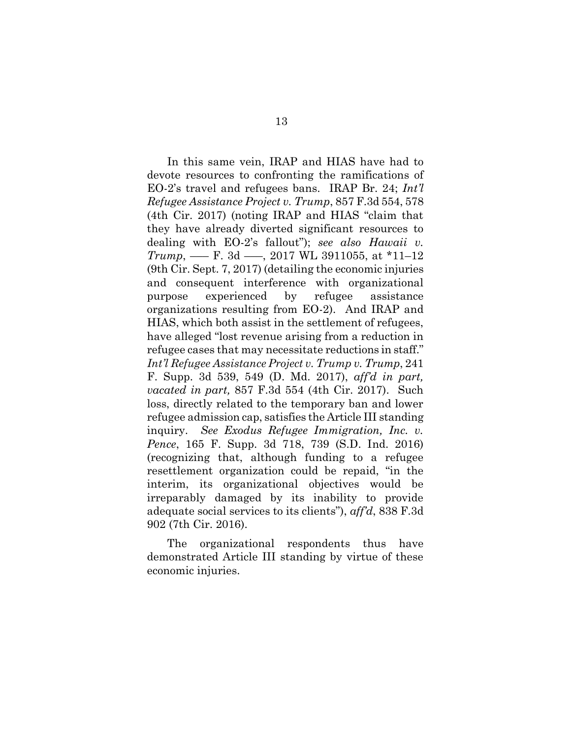In this same vein, IRAP and HIAS have had to devote resources to confronting the ramifications of EO-2's travel and refugees bans. IRAP Br. 24; *Int'l Refugee Assistance Project v. Trump*, 857 F.3d 554, 578 (4th Cir. 2017) (noting IRAP and HIAS "claim that they have already diverted significant resources to dealing with EO-2's fallout"); *see also Hawaii v. Trump*, —– F. 3d —–, 2017 WL 3911055, at \*11–12 (9th Cir. Sept. 7, 2017) (detailing the economic injuries and consequent interference with organizational purpose experienced by refugee assistance organizations resulting from EO-2). And IRAP and HIAS, which both assist in the settlement of refugees, have alleged "lost revenue arising from a reduction in refugee cases that may necessitate reductions in staff." *Int'l Refugee Assistance Project v. Trump v. Trump*, 241 F. Supp. 3d 539, 549 (D. Md. 2017), *aff'd in part, vacated in part,* 857 F.3d 554 (4th Cir. 2017). Such loss, directly related to the temporary ban and lower refugee admission cap, satisfies the Article III standing inquiry. *See Exodus Refugee Immigration, Inc. v. Pence*, 165 F. Supp. 3d 718, 739 (S.D. Ind. 2016) (recognizing that, although funding to a refugee resettlement organization could be repaid, "in the interim, its organizational objectives would be irreparably damaged by its inability to provide adequate social services to its clients"), *aff'd*, 838 F.3d 902 (7th Cir. 2016).

The organizational respondents thus have demonstrated Article III standing by virtue of these economic injuries.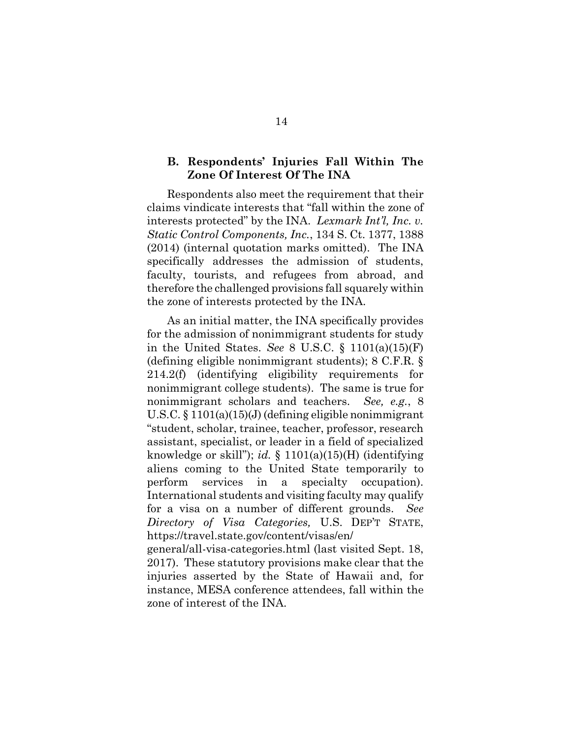#### **B. Respondents' Injuries Fall Within The Zone Of Interest Of The INA**

Respondents also meet the requirement that their claims vindicate interests that "fall within the zone of interests protected" by the INA. *Lexmark Int'l, Inc. v. Static Control Components, Inc.*, 134 S. Ct. 1377, 1388 (2014) (internal quotation marks omitted). The INA specifically addresses the admission of students, faculty, tourists, and refugees from abroad, and therefore the challenged provisions fall squarely within the zone of interests protected by the INA.

As an initial matter, the INA specifically provides for the admission of nonimmigrant students for study in the United States. *See* 8 U.S.C. § 1101(a)(15)(F) (defining eligible nonimmigrant students); 8 C.F.R. § 214.2(f) (identifying eligibility requirements for nonimmigrant college students). The same is true for nonimmigrant scholars and teachers. *See, e.g.*, 8 U.S.C. § 1101(a)(15)(J) (defining eligible nonimmigrant "student, scholar, trainee, teacher, professor, research assistant, specialist, or leader in a field of specialized knowledge or skill"); *id.* § 1101(a)(15)(H) (identifying aliens coming to the United State temporarily to perform services in a specialty occupation). International students and visiting faculty may qualify for a visa on a number of different grounds. *See Directory of Visa Categories,* U.S. DEP'T STATE, https://travel.state.gov/content/visas/en/

general/all-visa-categories.html (last visited Sept. 18, 2017). These statutory provisions make clear that the injuries asserted by the State of Hawaii and, for instance, MESA conference attendees, fall within the zone of interest of the INA.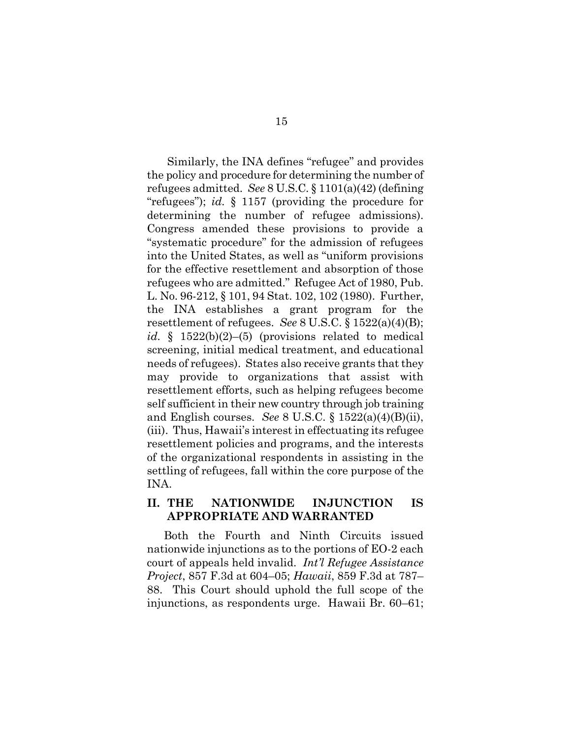Similarly, the INA defines "refugee" and provides the policy and procedure for determining the number of refugees admitted. *See* 8 U.S.C. § 1101(a)(42) (defining "refugees"); *id.* § 1157 (providing the procedure for determining the number of refugee admissions). Congress amended these provisions to provide a "systematic procedure" for the admission of refugees into the United States, as well as "uniform provisions for the effective resettlement and absorption of those refugees who are admitted." Refugee Act of 1980, Pub. L. No. 96-212, § 101, 94 Stat. 102, 102 (1980). Further, the INA establishes a grant program for the resettlement of refugees. *See* 8 U.S.C. § 1522(a)(4)(B); *id.* § 1522(b)(2)–(5) (provisions related to medical screening, initial medical treatment, and educational needs of refugees). States also receive grants that they may provide to organizations that assist with resettlement efforts, such as helping refugees become self sufficient in their new country through job training and English courses. *See* 8 U.S.C. § 1522(a)(4)(B)(ii), (iii). Thus, Hawaii's interest in effectuating its refugee resettlement policies and programs, and the interests of the organizational respondents in assisting in the settling of refugees, fall within the core purpose of the INA.

### **II. THE NATIONWIDE INJUNCTION IS APPROPRIATE AND WARRANTED**

Both the Fourth and Ninth Circuits issued nationwide injunctions as to the portions of EO-2 each court of appeals held invalid. *Int'l Refugee Assistance Project*, 857 F.3d at 604–05; *Hawaii*, 859 F.3d at 787– 88. This Court should uphold the full scope of the injunctions, as respondents urge. Hawaii Br. 60–61;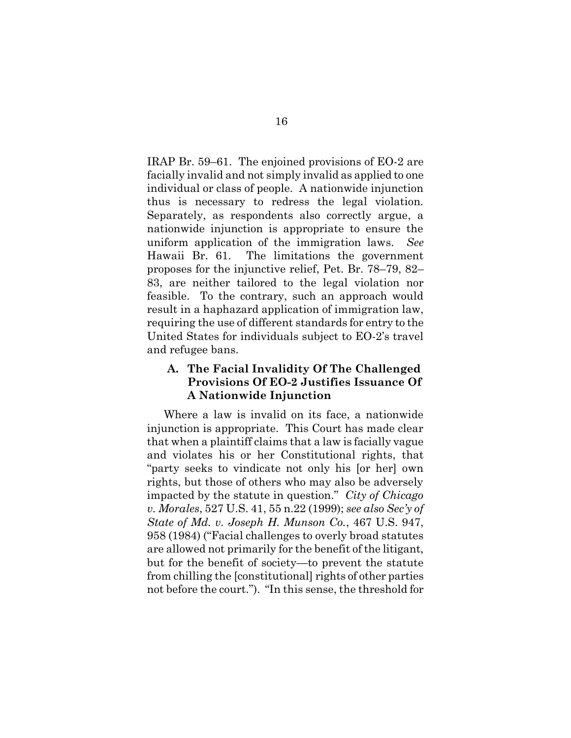IRAP Br. 59–61. The enjoined provisions of EO-2 are facially invalid and not simply invalid as applied to one individual or class of people. A nationwide injunction thus is necessary to redress the legal violation. Separately, as respondents also correctly argue, a nationwide injunction is appropriate to ensure the uniform application of the immigration laws. *See*  Hawaii Br. 61. The limitations the government proposes for the injunctive relief, Pet. Br. 78–79, 82– 83, are neither tailored to the legal violation nor feasible. To the contrary, such an approach would result in a haphazard application of immigration law, requiring the use of different standards for entry to the United States for individuals subject to EO-2's travel and refugee bans.

### **A. The Facial Invalidity Of The Challenged Provisions Of EO-2 Justifies Issuance Of A Nationwide Injunction**

Where a law is invalid on its face, a nationwide injunction is appropriate. This Court has made clear that when a plaintiff claims that a law is facially vague and violates his or her Constitutional rights, that "party seeks to vindicate not only his [or her] own rights, but those of others who may also be adversely impacted by the statute in question." *City of Chicago v. Morales*, 527 U.S. 41, 55 n.22 (1999); *see also Sec'y of State of Md. v. Joseph H. Munson Co.*, 467 U.S. 947, 958 (1984) ("Facial challenges to overly broad statutes are allowed not primarily for the benefit of the litigant, but for the benefit of society—to prevent the statute from chilling the [constitutional] rights of other parties not before the court."). "In this sense, the threshold for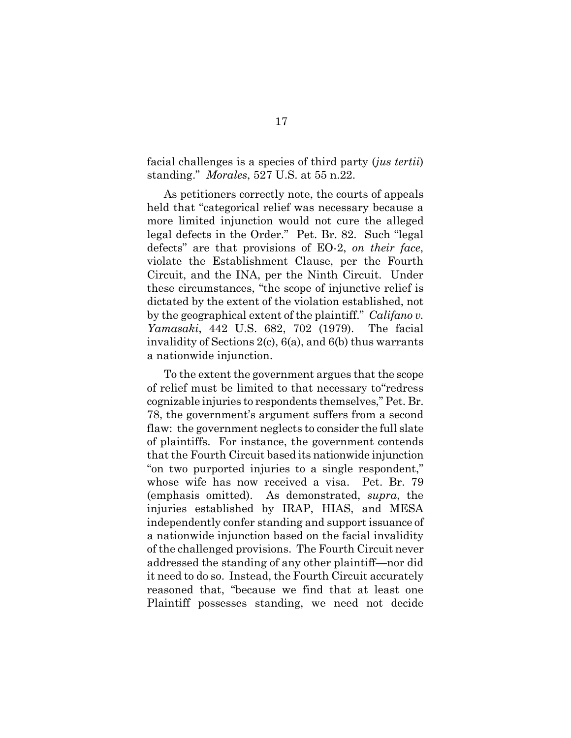facial challenges is a species of third party (*jus tertii*) standing." *Morales*, 527 U.S. at 55 n.22.

As petitioners correctly note, the courts of appeals held that "categorical relief was necessary because a more limited injunction would not cure the alleged legal defects in the Order." Pet. Br. 82. Such "legal defects" are that provisions of EO-2, *on their face*, violate the Establishment Clause, per the Fourth Circuit, and the INA, per the Ninth Circuit. Under these circumstances, "the scope of injunctive relief is dictated by the extent of the violation established, not by the geographical extent of the plaintiff." *Califano v. Yamasaki*, 442 U.S. 682, 702 (1979). The facial invalidity of Sections 2(c), 6(a), and 6(b) thus warrants a nationwide injunction.

To the extent the government argues that the scope of relief must be limited to that necessary to"redress cognizable injuries to respondents themselves," Pet. Br. 78, the government's argument suffers from a second flaw: the government neglects to consider the full slate of plaintiffs. For instance, the government contends that the Fourth Circuit based its nationwide injunction "on two purported injuries to a single respondent," whose wife has now received a visa. Pet. Br. 79 (emphasis omitted). As demonstrated, *supra*, the injuries established by IRAP, HIAS, and MESA independently confer standing and support issuance of a nationwide injunction based on the facial invalidity of the challenged provisions. The Fourth Circuit never addressed the standing of any other plaintiff—nor did it need to do so. Instead, the Fourth Circuit accurately reasoned that, "because we find that at least one Plaintiff possesses standing, we need not decide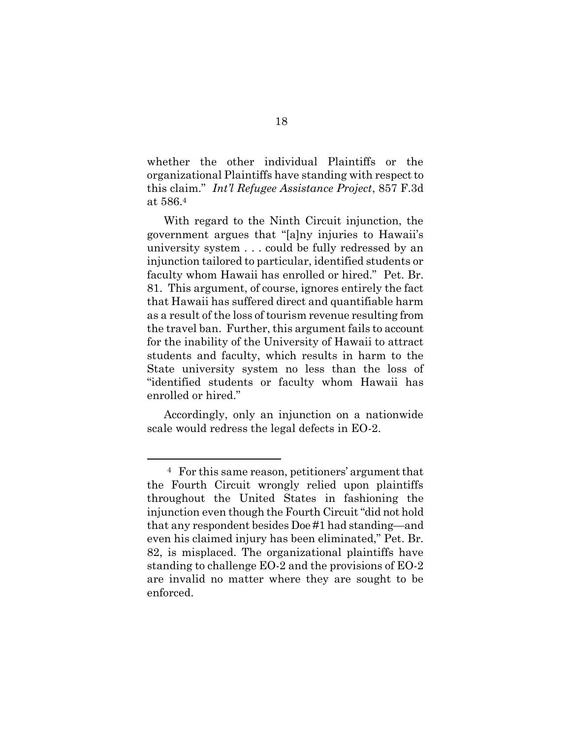whether the other individual Plaintiffs or the organizational Plaintiffs have standing with respect to this claim." *Int'l Refugee Assistance Project*, 857 F.3d at 586.<sup>4</sup>

With regard to the Ninth Circuit injunction, the government argues that "[a]ny injuries to Hawaii's university system . . . could be fully redressed by an injunction tailored to particular, identified students or faculty whom Hawaii has enrolled or hired." Pet. Br. 81. This argument, of course, ignores entirely the fact that Hawaii has suffered direct and quantifiable harm as a result of the loss of tourism revenue resulting from the travel ban. Further, this argument fails to account for the inability of the University of Hawaii to attract students and faculty, which results in harm to the State university system no less than the loss of "identified students or faculty whom Hawaii has enrolled or hired."

Accordingly, only an injunction on a nationwide scale would redress the legal defects in EO-2.

 $\overline{a}$ 

<sup>4</sup> For this same reason, petitioners' argument that the Fourth Circuit wrongly relied upon plaintiffs throughout the United States in fashioning the injunction even though the Fourth Circuit "did not hold that any respondent besides Doe #1 had standing—and even his claimed injury has been eliminated," Pet. Br. 82, is misplaced. The organizational plaintiffs have standing to challenge EO-2 and the provisions of EO-2 are invalid no matter where they are sought to be enforced.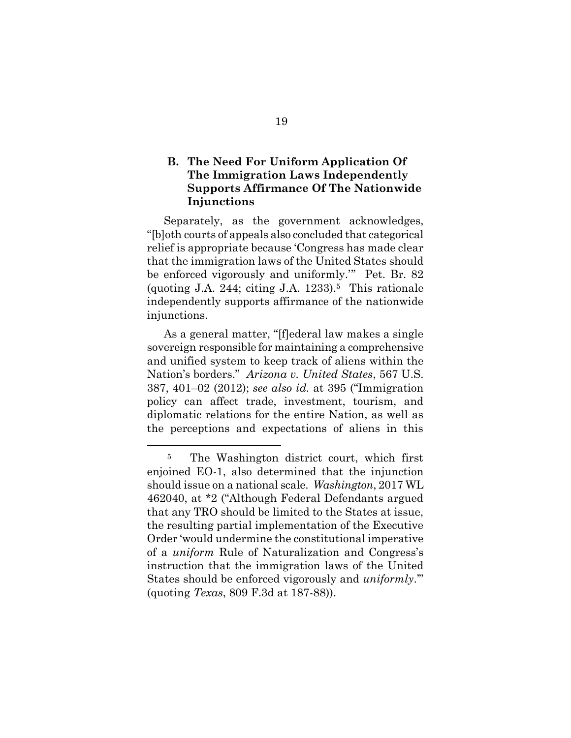### **B. The Need For Uniform Application Of The Immigration Laws Independently Supports Affirmance Of The Nationwide Injunctions**

Separately, as the government acknowledges, "[b]oth courts of appeals also concluded that categorical relief is appropriate because 'Congress has made clear that the immigration laws of the United States should be enforced vigorously and uniformly.'" Pet. Br. 82 (quoting J.A. 244; citing J.A. 1233).<sup>5</sup> This rationale independently supports affirmance of the nationwide injunctions.

As a general matter, "[f]ederal law makes a single sovereign responsible for maintaining a comprehensive and unified system to keep track of aliens within the Nation's borders." *Arizona v. United States*, 567 U.S. 387, 401–02 (2012); *see also id.* at 395 ("Immigration policy can affect trade, investment, tourism, and diplomatic relations for the entire Nation, as well as the perceptions and expectations of aliens in this

 $\overline{a}$ 

<sup>&</sup>lt;sup>5</sup> The Washington district court, which first enjoined EO-1, also determined that the injunction should issue on a national scale. *Washington*, 2017 WL 462040, at \*2 ("Although Federal Defendants argued that any TRO should be limited to the States at issue, the resulting partial implementation of the Executive Order 'would undermine the constitutional imperative of a *uniform* Rule of Naturalization and Congress's instruction that the immigration laws of the United States should be enforced vigorously and *uniformly*.'" (quoting *Texas*, 809 F.3d at 187-88)).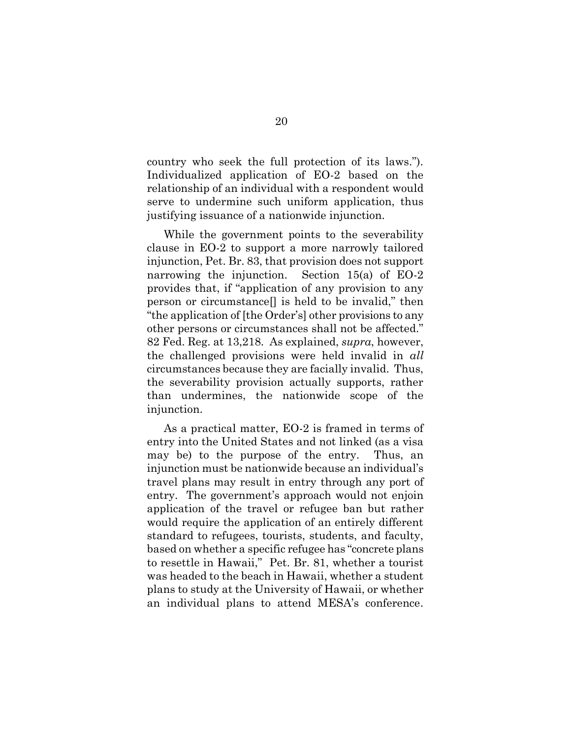country who seek the full protection of its laws."). Individualized application of EO-2 based on the relationship of an individual with a respondent would serve to undermine such uniform application, thus justifying issuance of a nationwide injunction.

While the government points to the severability clause in EO-2 to support a more narrowly tailored injunction, Pet. Br. 83, that provision does not support narrowing the injunction. Section 15(a) of EO-2 provides that, if "application of any provision to any person or circumstance[] is held to be invalid," then "the application of [the Order's] other provisions to any other persons or circumstances shall not be affected." 82 Fed. Reg. at 13,218. As explained, *supra*, however, the challenged provisions were held invalid in *all* circumstances because they are facially invalid. Thus, the severability provision actually supports, rather than undermines, the nationwide scope of the injunction.

As a practical matter, EO-2 is framed in terms of entry into the United States and not linked (as a visa may be) to the purpose of the entry. Thus, an injunction must be nationwide because an individual's travel plans may result in entry through any port of entry. The government's approach would not enjoin application of the travel or refugee ban but rather would require the application of an entirely different standard to refugees, tourists, students, and faculty, based on whether a specific refugee has "concrete plans to resettle in Hawaii," Pet. Br. 81, whether a tourist was headed to the beach in Hawaii, whether a student plans to study at the University of Hawaii, or whether an individual plans to attend MESA's conference.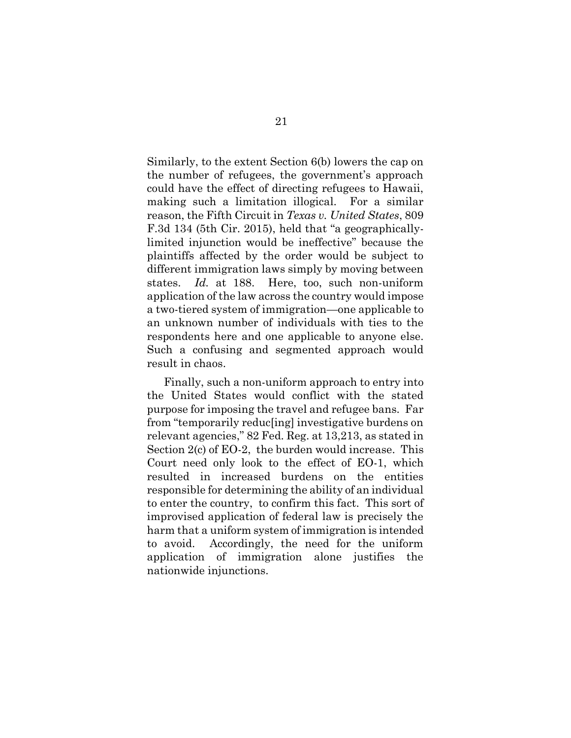Similarly, to the extent Section 6(b) lowers the cap on the number of refugees, the government's approach could have the effect of directing refugees to Hawaii, making such a limitation illogical. For a similar reason, the Fifth Circuit in *Texas v. United States*, 809 F.3d 134 (5th Cir. 2015), held that "a geographicallylimited injunction would be ineffective" because the plaintiffs affected by the order would be subject to different immigration laws simply by moving between states. *Id.* at 188. Here, too, such non-uniform application of the law across the country would impose a two-tiered system of immigration—one applicable to an unknown number of individuals with ties to the respondents here and one applicable to anyone else. Such a confusing and segmented approach would result in chaos.

Finally, such a non-uniform approach to entry into the United States would conflict with the stated purpose for imposing the travel and refugee bans. Far from "temporarily reduc[ing] investigative burdens on relevant agencies," 82 Fed. Reg. at 13,213, as stated in Section 2(c) of EO-2, the burden would increase. This Court need only look to the effect of EO-1, which resulted in increased burdens on the entities responsible for determining the ability of an individual to enter the country, to confirm this fact. This sort of improvised application of federal law is precisely the harm that a uniform system of immigration is intended to avoid. Accordingly, the need for the uniform application of immigration alone justifies the nationwide injunctions.